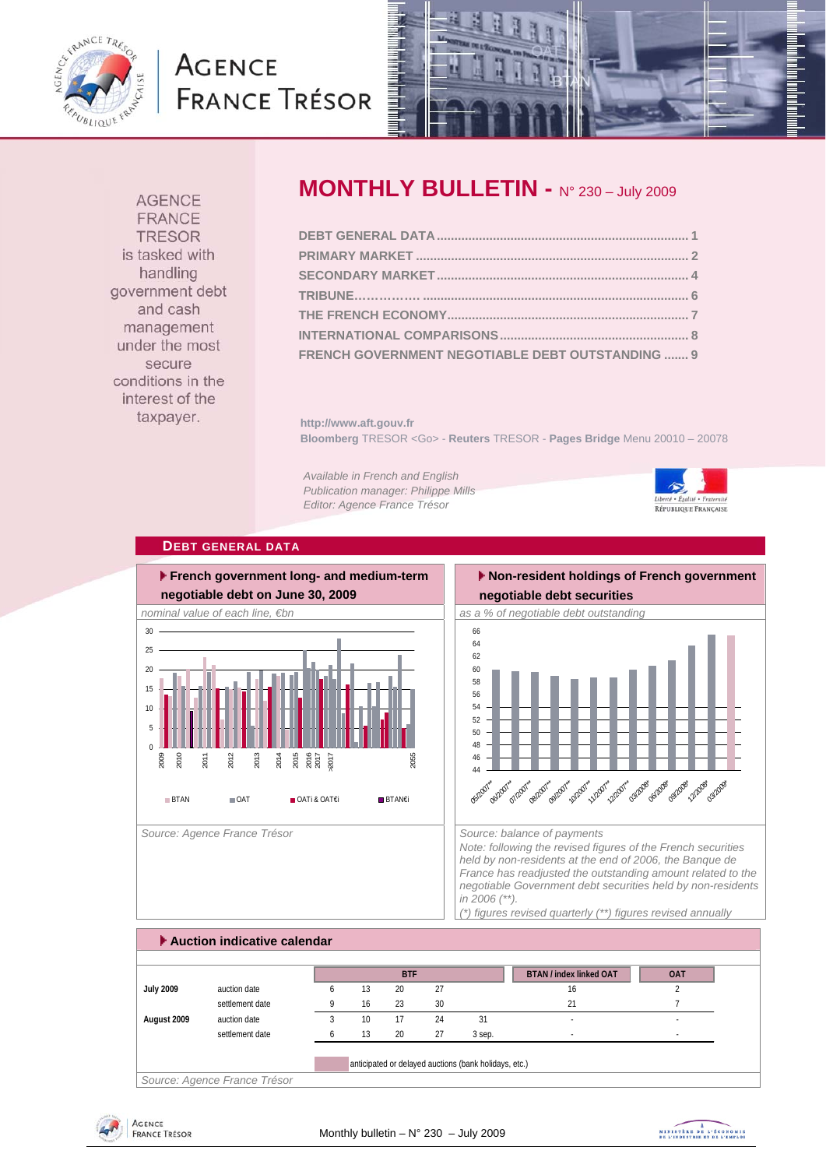

## **AGENCE FRANCE TRÉSOR**



**AGENCE** FRANCE **TRESOR** is tasked with handling government debt and cash management under the most secure conditions in the interest of the taxpayer.

## **MONTHLY BULLETIN - N° 230 – July 2009**

| FRENCH GOVERNMENT NEGOTIABLE DEBT OUTSTANDING  9 |  |
|--------------------------------------------------|--|

**http://www.aft.gouv.fr Bloomberg** TRESOR <Go> - **Reuters** TRESOR - **Pages Bridge** Menu 20010 – 20078

*Available in French and English Publication manager: Philippe Mills Editor: Agence France Trésor* 



#### **DEBT GENERAL DATA**



 **Non-resident holdings of French government** 



*Note: following the revised figures of the French securities held by non-residents at the end of 2006, the Banque de France has readjusted the outstanding amount related to the negotiable Government debt securities held by non-residents in 2006 (\*\*). (\*) figures revised quarterly (\*\*) figures revised annually* 

 **Auction indicative calendar BTAN / index linked OAT COAT July 2009** auction date 6 13 20 27 16 16 20 settlement date **9** 16 23 30 21 21 21 **August 2009** auction date 3 10 17 24 31 - settlement date 6 13 20 27 3 sep. Fig. 20 3 sep. anticipated or delayed auctions (bank holidays, etc.) **BTF**

*Source: Agence France Trésor* 



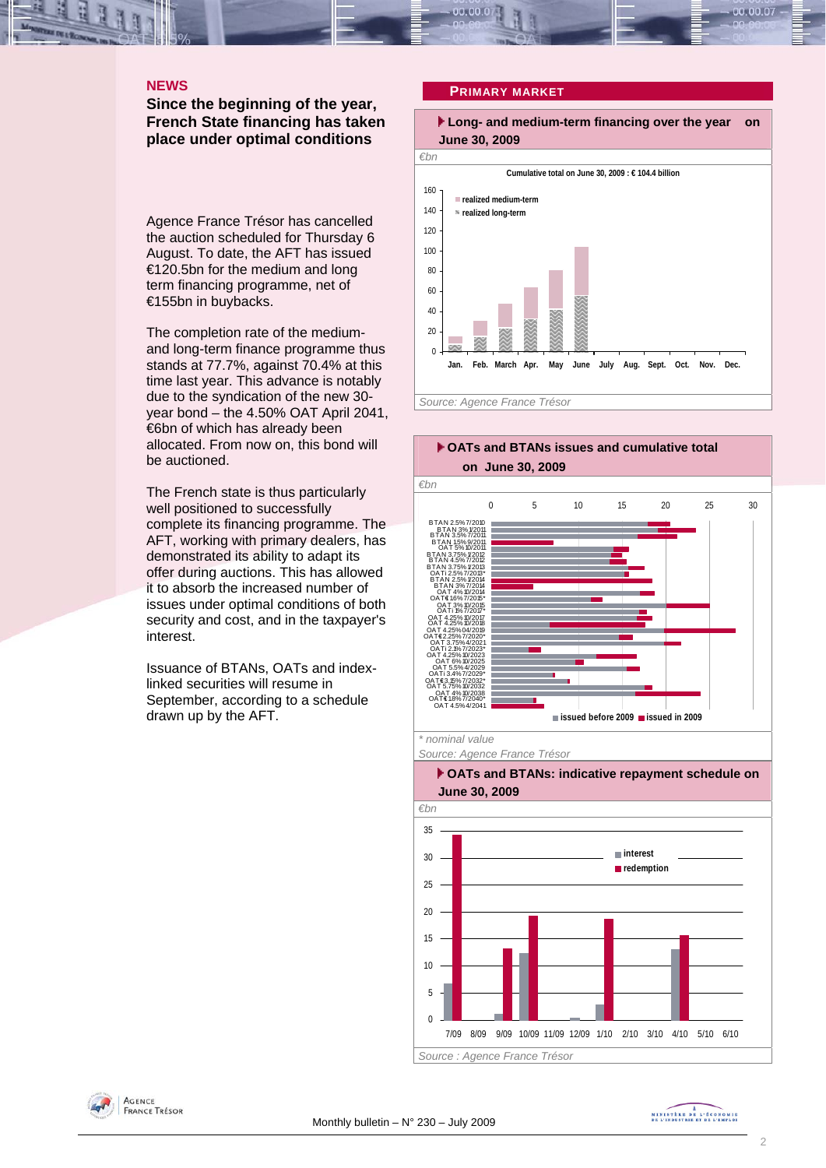#### **NEWS**

**Since the beginning of the year, French State financing has taken place under optimal conditions** 

Agence France Trésor has cancelled the auction scheduled for Thursday 6 August. To date, the AFT has issued €120.5bn for the medium and long term financing programme, net of €155bn in buybacks.

The completion rate of the mediumand long-term finance programme thus stands at 77.7%, against 70.4% at this time last year. This advance is notably due to the syndication of the new 30 year bond – the 4.50% OAT April 2041, €6bn of which has already been allocated. From now on, this bond will be auctioned.

The French state is thus particularly well positioned to successfully complete its financing programme. The AFT, working with primary dealers, has demonstrated its ability to adapt its offer during auctions. This has allowed it to absorb the increased number of issues under optimal conditions of both security and cost, and in the taxpayer's interest.

Issuance of BTANs, OATs and indexlinked securities will resume in September, according to a schedule drawn up by the AFT.

#### **PRIMARY MARKET**









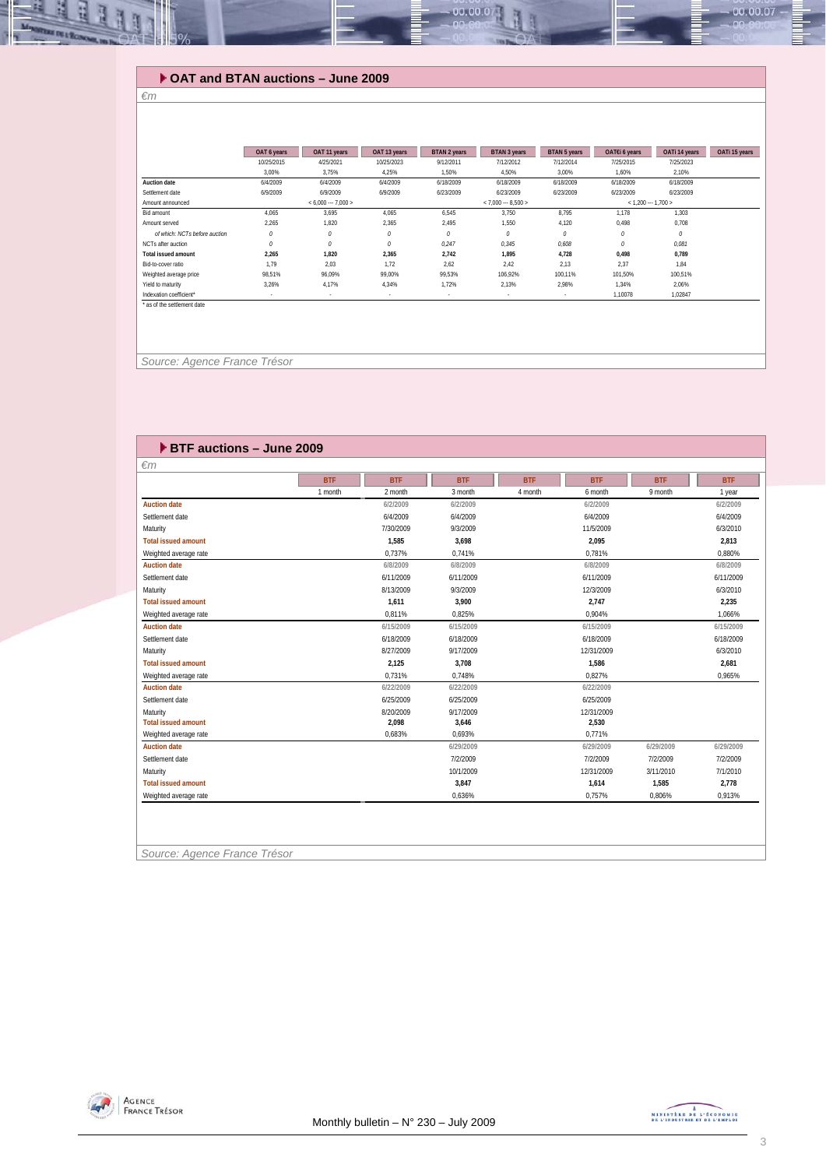#### **OAT and BTAN auctions – June 2009**

#### *€m*

Щ E

|                               | OAT 6 years | OAT 11 years        | OAT 13 years | BTAN 2 years        | BTAN 3 years  | BTAN 5 years | OAT€i 6 years       | OATi 14 years | OATi 15 years |
|-------------------------------|-------------|---------------------|--------------|---------------------|---------------|--------------|---------------------|---------------|---------------|
|                               | 10/25/2015  | 4/25/2021           | 10/25/2023   | 9/12/2011           | 7/12/2012     | 7/12/2014    | 7/25/2015           | 7/25/2023     |               |
|                               | 3.00%       | 3.75%               | 4,25%        | 1,50%               | 4.50%         | 3,00%        | 1,60%               | 2,10%         |               |
| <b>Auction date</b>           | 6/4/2009    | 6/4/2009            | 6/4/2009     | 6/18/2009           | 6/18/2009     | 6/18/2009    | 6/18/2009           | 6/18/2009     |               |
| Settlement date               | 6/9/2009    | 6/9/2009            | 6/9/2009     | 6/23/2009           | 6/23/2009     | 6/23/2009    | 6/23/2009           | 6/23/2009     |               |
| Amount announced              |             | $< 6.000 - 7.000 >$ |              | $< 7.000 - 8.500 >$ |               |              | $< 1.200 - 1.700 >$ |               |               |
| Bid amount                    | 4.065       | 3.695               | 4,065        | 6,545               | 3.750         | 8.795        | 1,178               | 1,303         |               |
| Amount served                 | 2,265       | 1,820               | 2,365        | 2.495               | 1,550         | 4,120        | 0.498               | 0,708         |               |
| of which: NCTs before auction | $\theta$    | 0                   | 0            | O                   | $\mathcal{O}$ | $\theta$     | $\theta$            | $\theta$      |               |
| NCTs after auction            | $\theta$    | 0                   | 0            | 0.247               | 0,345         | 0,608        | $\theta$            | 0.081         |               |
| <b>Total issued amount</b>    | 2.265       | 1.820               | 2,365        | 2.742               | 1,895         | 4,728        | 0,498               | 0.789         |               |
| Bid-to-cover ratio            | 1.79        | 2.03                | 1.72         | 2.62                | 2.42          | 2.13         | 2,37                | 1.84          |               |
| Weighted average price        | 98,51%      | 96,09%              | 99.00%       | 99.53%              | 106,92%       | 100,11%      | 101.50%             | 100,51%       |               |
| Yield to maturity             | 3.26%       | 4.17%               | 4.34%        | 1.72%               | 2,13%         | 2.98%        | 1.34%               | 2,06%         |               |
| Indexation coefficient*       |             | $\sim$              |              | $\sim$              | ٠             |              | 1,10078             | 1,02847       |               |
| * as of the settlement date   |             |                     |              |                     |               |              |                     |               |               |

00.00.0

 *Source: Agence France Trésor* 

|                            | <b>BTF</b> | <b>BTF</b> | <b>BTF</b> | <b>BTF</b> | <b>BTF</b> | <b>BTF</b> | <b>BTF</b> |
|----------------------------|------------|------------|------------|------------|------------|------------|------------|
|                            | 1 month    | 2 month    | 3 month    | 4 month    | 6 month    | 9 month    | 1 year     |
| <b>Auction date</b>        |            | 6/2/2009   | 6/2/2009   |            | 6/2/2009   |            | 6/2/2009   |
| Settlement date            |            | 6/4/2009   | 6/4/2009   |            | 6/4/2009   |            | 6/4/2009   |
| Maturity                   |            | 7/30/2009  | 9/3/2009   |            | 11/5/2009  |            | 6/3/2010   |
| <b>Total issued amount</b> |            | 1,585      | 3,698      |            | 2,095      |            | 2,813      |
| Weighted average rate      |            | 0,737%     | 0,741%     |            | 0,781%     |            | 0.880%     |
| <b>Auction date</b>        |            | 6/8/2009   | 6/8/2009   |            | 6/8/2009   |            | 6/8/2009   |
| Settlement date            |            | 6/11/2009  | 6/11/2009  |            | 6/11/2009  |            | 6/11/2009  |
| Maturity                   |            | 8/13/2009  | 9/3/2009   |            | 12/3/2009  |            | 6/3/2010   |
| <b>Total issued amount</b> |            | 1,611      | 3,900      |            | 2,747      |            | 2,235      |
| Weighted average rate      |            | 0,811%     | 0,825%     |            | 0,904%     |            | 1,066%     |
| <b>Auction date</b>        |            | 6/15/2009  | 6/15/2009  |            | 6/15/2009  |            | 6/15/2009  |
| Settlement date            |            | 6/18/2009  | 6/18/2009  |            | 6/18/2009  |            | 6/18/2009  |
| Maturity                   |            | 8/27/2009  | 9/17/2009  |            | 12/31/2009 |            | 6/3/2010   |
| <b>Total issued amount</b> |            | 2,125      | 3,708      |            | 1,586      |            | 2,681      |
| Weighted average rate      |            | 0.731%     | 0.748%     |            | 0.827%     |            | 0.965%     |
| <b>Auction date</b>        |            | 6/22/2009  | 6/22/2009  |            | 6/22/2009  |            |            |
| Settlement date            |            | 6/25/2009  | 6/25/2009  |            | 6/25/2009  |            |            |
| Maturity                   |            | 8/20/2009  | 9/17/2009  |            | 12/31/2009 |            |            |
| <b>Total issued amount</b> |            | 2,098      | 3,646      |            | 2,530      |            |            |
| Weighted average rate      |            | 0.683%     | 0.693%     |            | 0.771%     |            |            |
| <b>Auction date</b>        |            |            | 6/29/2009  |            | 6/29/2009  | 6/29/2009  | 6/29/2009  |
| Settlement date            |            |            | 7/2/2009   |            | 7/2/2009   | 7/2/2009   | 7/2/2009   |
| Maturity                   |            |            | 10/1/2009  |            | 12/31/2009 | 3/11/2010  | 7/1/2010   |
| <b>Total issued amount</b> |            |            | 3,847      |            | 1,614      | 1,585      | 2,778      |
| Weighted average rate      |            |            | 0.636%     |            | 0.757%     | 0.806%     | 0,913%     |



00.00.07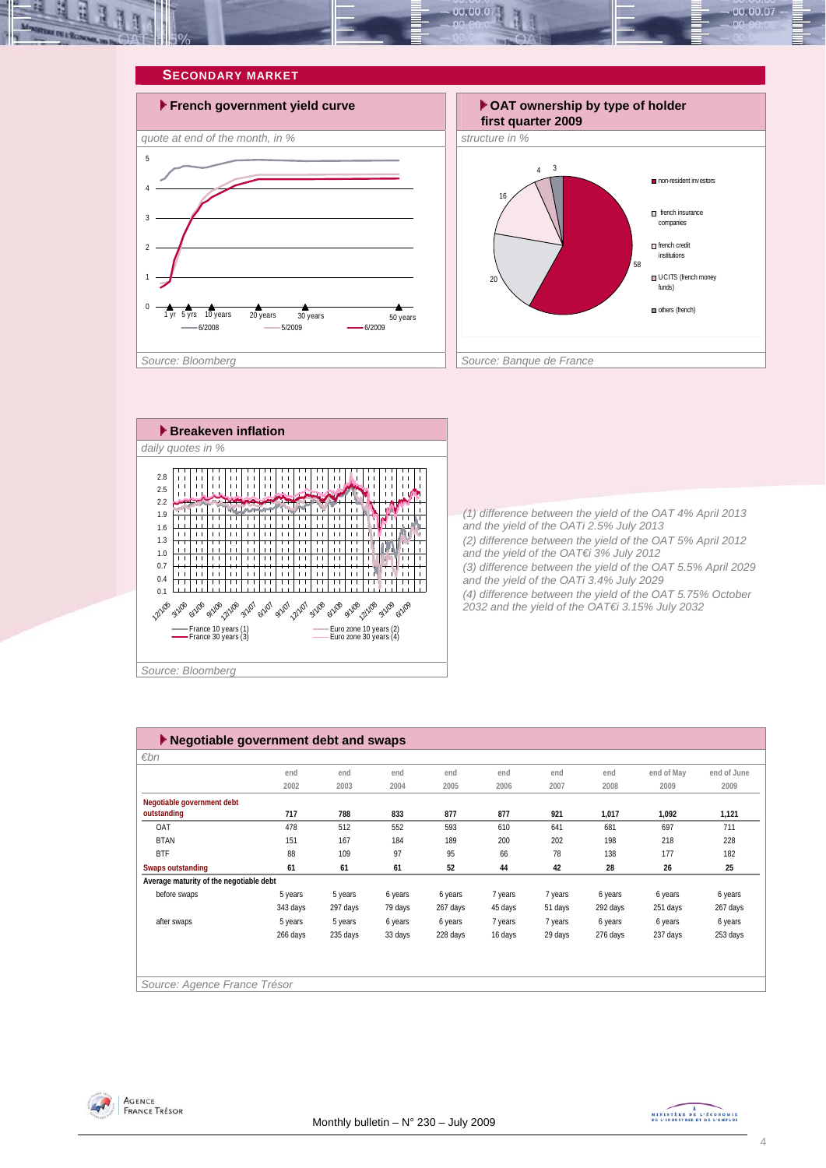

# **SECONDARY MARKET** 5

0

1

 $\overline{2}$ 

3

4







*(1) difference between the yield of the OAT 4% April 2013 and the yield of the OATi 2.5% July 2013 (2) difference between the yield of the OAT 5% April 2012 and the yield of the OAT€i 3% July 2012 (3) difference between the yield of the OAT 5.5% April 2029 and the yield of the OATi 3.4% July 2029 (4) difference between the yield of the OAT 5.75% October 2032 and the yield of the OAT€i 3.15% July 2032* 

| $\blacktriangleright$ Negotiable government debt and swaps |                              |          |         |          |         |         |          |            |             |  |
|------------------------------------------------------------|------------------------------|----------|---------|----------|---------|---------|----------|------------|-------------|--|
| $\varepsilon$ bn                                           |                              |          |         |          |         |         |          |            |             |  |
|                                                            | end                          | end      | end     | end      | end     | end     | end      | end of May | end of June |  |
|                                                            | 2002                         | 2003     | 2004    | 2005     | 2006    | 2007    | 2008     | 2009       | 2009        |  |
| Negotiable government debt                                 |                              |          |         |          |         |         |          |            |             |  |
| outstanding                                                | 717                          | 788      | 833     | 877      | 877     | 921     | 1,017    | 1,092      | 1,121       |  |
| OAT                                                        | 478                          | 512      | 552     | 593      | 610     | 641     | 681      | 697        | 711         |  |
| <b>BTAN</b>                                                | 151                          | 167      | 184     | 189      | 200     | 202     | 198      | 218        | 228         |  |
| <b>BTF</b>                                                 | 88                           | 109      | 97      | 95       | 66      | 78      | 138      | 177        | 182         |  |
| Swaps outstanding                                          | 61                           | 61       | 61      | 52       | 44      | 42      | 28       | 26         | 25          |  |
| Average maturity of the negotiable debt                    |                              |          |         |          |         |         |          |            |             |  |
| before swaps                                               | 5 years                      | 5 years  | 6 years | 6 years  | 7 years | 7 years | 6 years  | 6 years    | 6 years     |  |
|                                                            | 343 days                     | 297 days | 79 days | 267 days | 45 days | 51 days | 292 days | 251 days   | 267 days    |  |
| after swaps                                                | 5 years                      | 5 years  | 6 years | 6 years  | 7 years | 7 years | 6 years  | 6 years    | 6 years     |  |
|                                                            | 266 days                     | 235 days | 33 days | 228 days | 16 days | 29 days | 276 days | 237 days   | 253 days    |  |
|                                                            |                              |          |         |          |         |         |          |            |             |  |
|                                                            |                              |          |         |          |         |         |          |            |             |  |
|                                                            |                              |          |         |          |         |         |          |            |             |  |
|                                                            | Source: Agence France Trésor |          |         |          |         |         |          |            |             |  |



MINISTRE DE L'ÉCONOMIE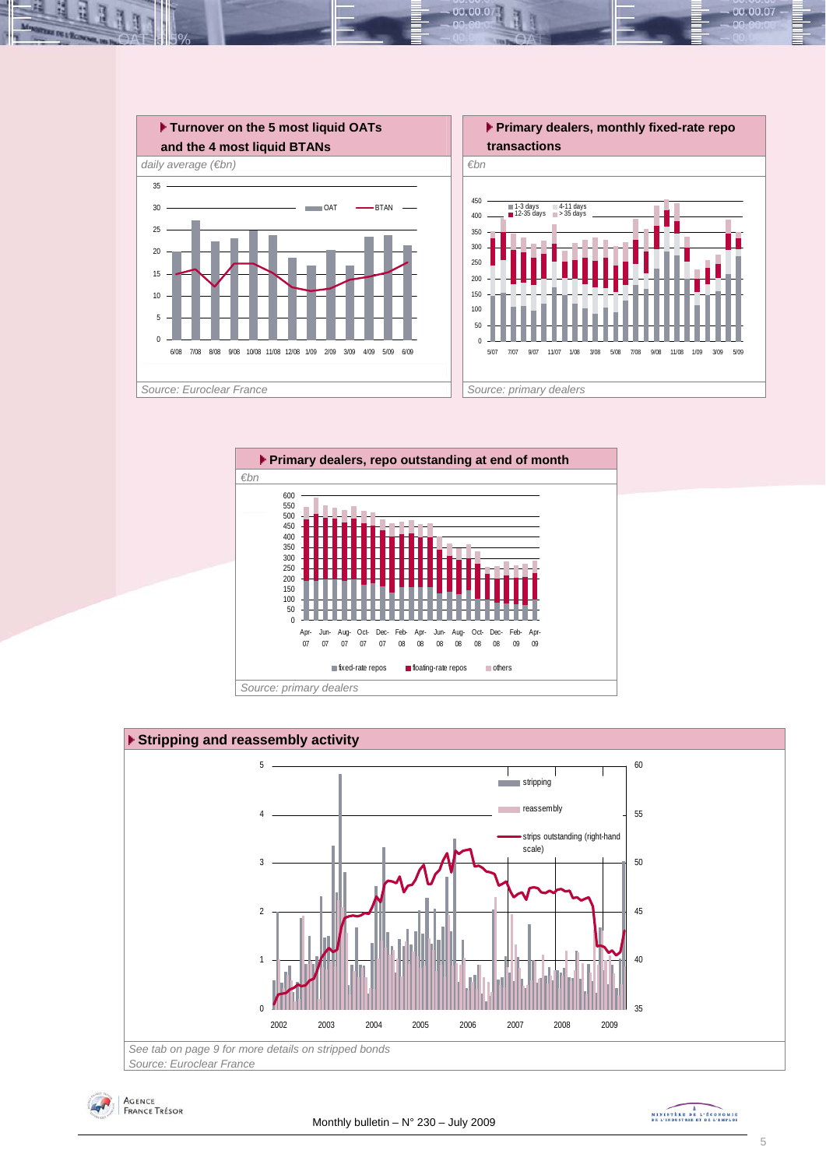





*Source: Euroclear France* 



MINISTRE DE L'ÉCONOMIE

00.00.07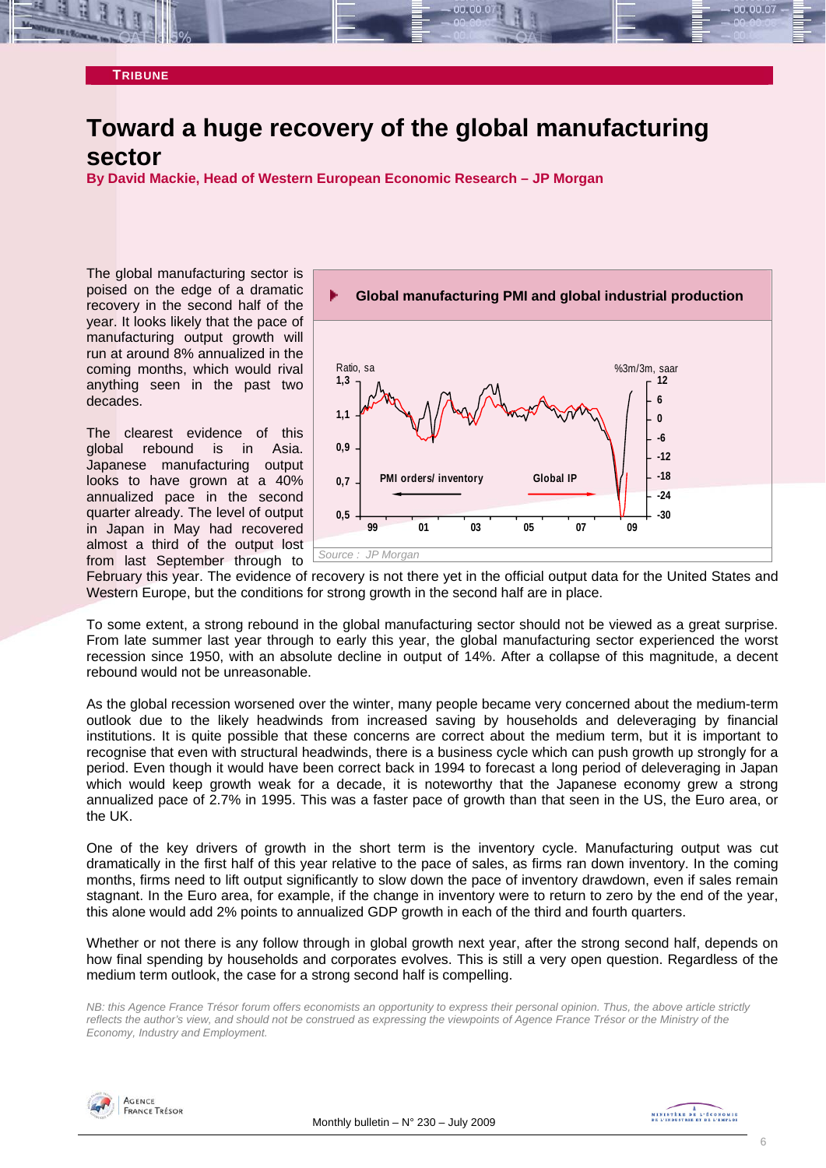#### **TRIBUNE**

### **Toward a huge recovery of the global manufacturing sector**

**By David Mackie, Head of Western European Economic Research – JP Morgan** 

The global manufacturing sector is poised on the edge of a dramatic recovery in the second half of the year. It looks likely that the pace of manufacturing output growth will run at around 8% annualized in the coming months, which would rival anything seen in the past two decades.

The clearest evidence of this global rebound is in Asia. Japanese manufacturing output looks to have grown at a 40% annualized pace in the second quarter already. The level of output in Japan in May had recovered almost a third of the output lost from last September through to



February this year. The evidence of recovery is not there yet in the official output data for the United States and Western Europe, but the conditions for strong growth in the second half are in place.

To some extent, a strong rebound in the global manufacturing sector should not be viewed as a great surprise. From late summer last year through to early this year, the global manufacturing sector experienced the worst recession since 1950, with an absolute decline in output of 14%. After a collapse of this magnitude, a decent rebound would not be unreasonable.

As the global recession worsened over the winter, many people became very concerned about the medium-term outlook due to the likely headwinds from increased saving by households and deleveraging by financial institutions. It is quite possible that these concerns are correct about the medium term, but it is important to recognise that even with structural headwinds, there is a business cycle which can push growth up strongly for a period. Even though it would have been correct back in 1994 to forecast a long period of deleveraging in Japan which would keep growth weak for a decade, it is noteworthy that the Japanese economy grew a strong annualized pace of 2.7% in 1995. This was a faster pace of growth than that seen in the US, the Euro area, or the UK.

One of the key drivers of growth in the short term is the inventory cycle. Manufacturing output was cut dramatically in the first half of this year relative to the pace of sales, as firms ran down inventory. In the coming months, firms need to lift output significantly to slow down the pace of inventory drawdown, even if sales remain stagnant. In the Euro area, for example, if the change in inventory were to return to zero by the end of the year, this alone would add 2% points to annualized GDP growth in each of the third and fourth quarters.

Whether or not there is any follow through in global growth next year, after the strong second half, depends on how final spending by households and corporates evolves. This is still a very open question. Regardless of the medium term outlook, the case for a strong second half is compelling.

*NB: this Agence France Trésor forum offers economists an opportunity to express their personal opinion. Thus, the above article strictly reflects the author's view, and should not be construed as expressing the viewpoints of Agence France Trésor or the Ministry of the Economy, Industry and Employment.* 

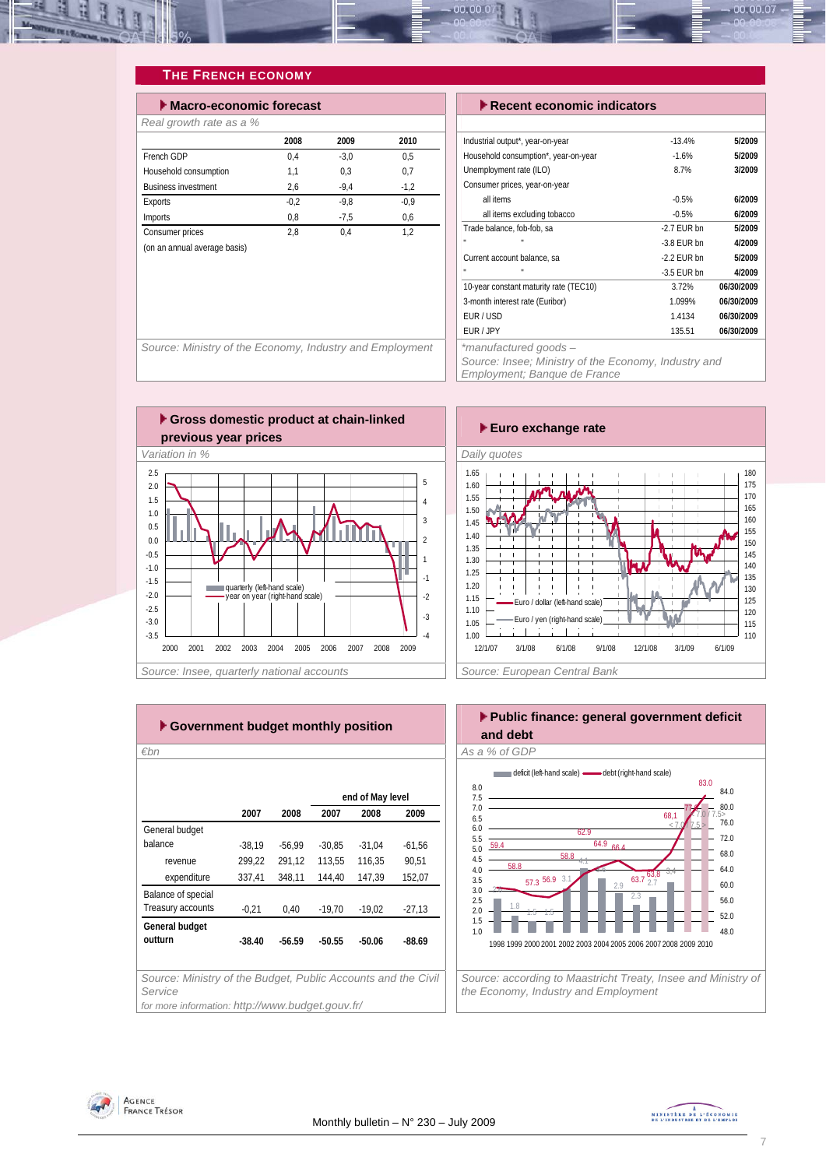

#### **THE FRENCH ECONOMY**

| $\blacktriangleright$ Macro-economic forecast |        |        |        |  |  |  |  |  |
|-----------------------------------------------|--------|--------|--------|--|--|--|--|--|
| Real growth rate as a %                       |        |        |        |  |  |  |  |  |
|                                               | 2008   | 2009   | 2010   |  |  |  |  |  |
| French GDP                                    | 0.4    | $-3.0$ | 0.5    |  |  |  |  |  |
| Household consumption                         | 1,1    | 0.3    | 0.7    |  |  |  |  |  |
| <b>Business investment</b>                    | 2,6    | $-9.4$ | $-1.2$ |  |  |  |  |  |
| Exports                                       | $-0.2$ | $-9.8$ | $-0.9$ |  |  |  |  |  |
| <b>Imports</b>                                | 0.8    | $-7.5$ | 0.6    |  |  |  |  |  |
| Consumer prices                               | 2.8    | 0.4    | 1.2    |  |  |  |  |  |
| (on an annual average basis)                  |        |        |        |  |  |  |  |  |
|                                               |        |        |        |  |  |  |  |  |

Source: Ministry of the Economy, Industry and Employment

#### **Execent economic indicators**

| Industrial output*, year-on-year       | $-13.4%$      | 5/2009     |
|----------------------------------------|---------------|------------|
| Household consumption*, year-on-year   | $-1.6%$       | 5/2009     |
| Unemployment rate (ILO)                | 8.7%          | 3/2009     |
| Consumer prices, year-on-year          |               |            |
| all items                              | $-0.5%$       | 6/2009     |
| all items excluding tobacco            | $-0.5%$       | 6/2009     |
| Trade balance, fob-fob, sa             | $-2.7$ FUR bn | 5/2009     |
| п<br>×.                                | $-3.8$ FUR bn | 4/2009     |
| Current account balance, sa            | $-2.2$ FUR bn | 5/2009     |
| п<br>u                                 | $-3.5$ EUR bn | 4/2009     |
| 10-year constant maturity rate (TEC10) | 3.72%         | 06/30/2009 |
| 3-month interest rate (Euribor)        | 1.099%        | 06/30/2009 |
| EUR / USD                              | 1.4134        | 06/30/2009 |
| FUR / JPY                              | 135.51        | 06/30/2009 |
| *manufactured goods -                  |               |            |

*Source: Insee; Ministry of the Economy, Industry and Employment; Banque de France* 





| ► Government budget monthly position                                     |          |          |          |                                                                      |  |  |  |  |  |
|--------------------------------------------------------------------------|----------|----------|----------|----------------------------------------------------------------------|--|--|--|--|--|
|                                                                          |          |          |          |                                                                      |  |  |  |  |  |
|                                                                          |          |          |          |                                                                      |  |  |  |  |  |
|                                                                          |          |          |          |                                                                      |  |  |  |  |  |
| 2007                                                                     | 2008     | 2007     | 2008     | 2009                                                                 |  |  |  |  |  |
|                                                                          |          |          |          |                                                                      |  |  |  |  |  |
| $-38,19$                                                                 | $-56.99$ | $-30.85$ | $-31,04$ | $-61,56$                                                             |  |  |  |  |  |
| 299,22                                                                   | 291,12   | 113,55   | 116,35   | 90.51                                                                |  |  |  |  |  |
| 337,41                                                                   | 348,11   | 144,40   | 147,39   | 152,07                                                               |  |  |  |  |  |
|                                                                          |          |          |          |                                                                      |  |  |  |  |  |
| $-0,21$                                                                  | 0,40     | $-19,70$ | $-19,02$ | $-27,13$                                                             |  |  |  |  |  |
|                                                                          |          |          |          |                                                                      |  |  |  |  |  |
| $-38.40$                                                                 | $-56.59$ | $-50.55$ | $-50.06$ | $-88.69$                                                             |  |  |  |  |  |
|                                                                          |          |          |          |                                                                      |  |  |  |  |  |
| Source: Ministry of the Budget, Public Accounts and the Civil<br>Service |          |          |          |                                                                      |  |  |  |  |  |
|                                                                          |          |          |          | end of May level<br>for more information: http://www.budget.gouv.fr/ |  |  |  |  |  |

#### **Public finance: general government deficit and debt**  *€bn As a % of GDP*



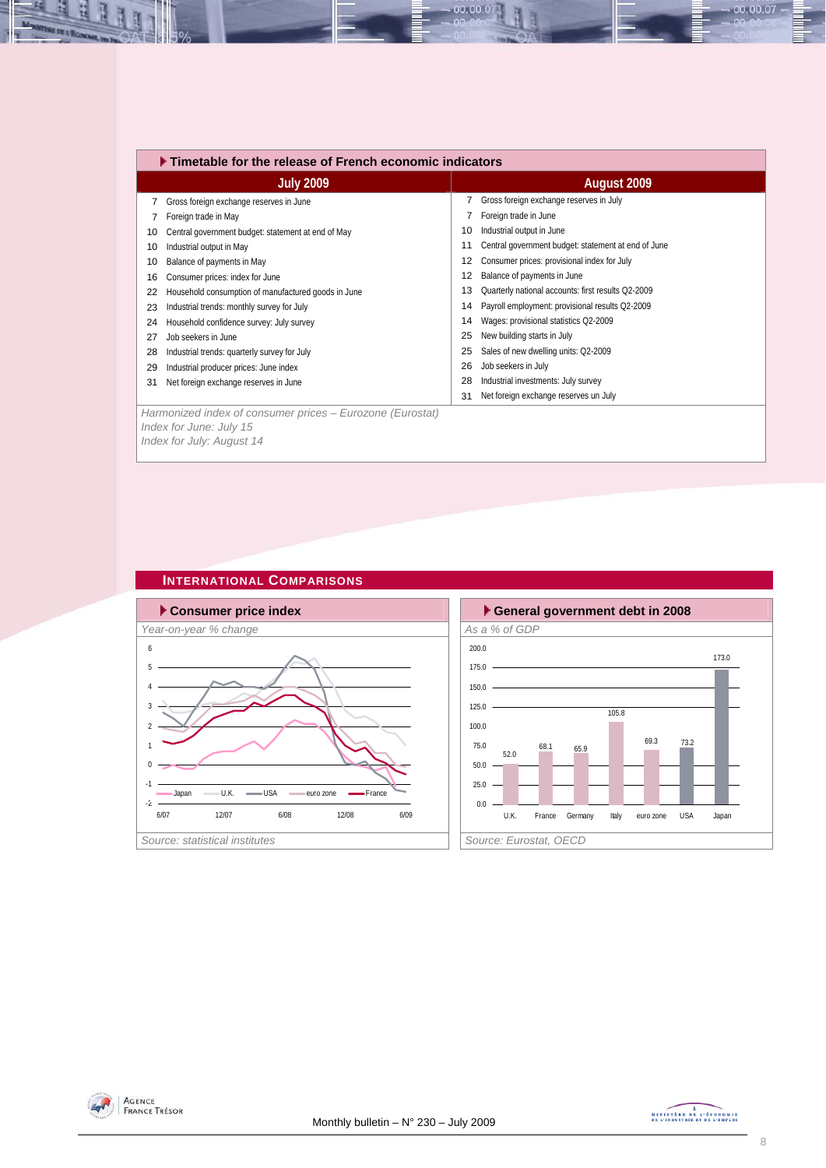|    | ▶ Timetable for the release of French economic indicators |    |                                                     |  |  |  |  |  |
|----|-----------------------------------------------------------|----|-----------------------------------------------------|--|--|--|--|--|
|    | <b>July 2009</b>                                          |    | August 2009                                         |  |  |  |  |  |
|    | Gross foreign exchange reserves in June                   |    | Gross foreign exchange reserves in July             |  |  |  |  |  |
|    | Foreign trade in May                                      |    | Foreign trade in June                               |  |  |  |  |  |
| 10 | Central government budget: statement at end of May        | 10 | Industrial output in June                           |  |  |  |  |  |
| 10 | Industrial output in May                                  | 11 | Central government budget: statement at end of June |  |  |  |  |  |
| 10 | Balance of payments in May                                | 12 | Consumer prices: provisional index for July         |  |  |  |  |  |
| 16 | Consumer prices: index for June                           | 12 | Balance of payments in June                         |  |  |  |  |  |
| 22 | Household consumption of manufactured goods in June       | 13 | Quarterly national accounts: first results Q2-2009  |  |  |  |  |  |
| 23 | Industrial trends: monthly survey for July                | 14 | Payroll employment: provisional results Q2-2009     |  |  |  |  |  |
| 24 | Household confidence survey: July survey                  | 14 | Wages: provisional statistics Q2-2009               |  |  |  |  |  |
| 27 | Job seekers in June                                       | 25 | New building starts in July                         |  |  |  |  |  |
| 28 | Industrial trends: quarterly survey for July              | 25 | Sales of new dwelling units: Q2-2009                |  |  |  |  |  |
| 29 | Industrial producer prices: June index                    | 26 | Job seekers in July                                 |  |  |  |  |  |
| 31 | Net foreign exchange reserves in June                     | 28 | Industrial investments: July survey                 |  |  |  |  |  |
|    |                                                           | 31 | Net foreign exchange reserves un July               |  |  |  |  |  |
|    | Harmonized index of consumer prices – Eurozone (Eurostat) |    |                                                     |  |  |  |  |  |

00.00.07

*Harmonized index of consumer prices – Eurozone (Eurostat) Index for June: July 15 Index for July: August 14* 

#### **INTERNATIONAL COMPARISONS**





즤 IJ

Ŀ

 $0.00007 -$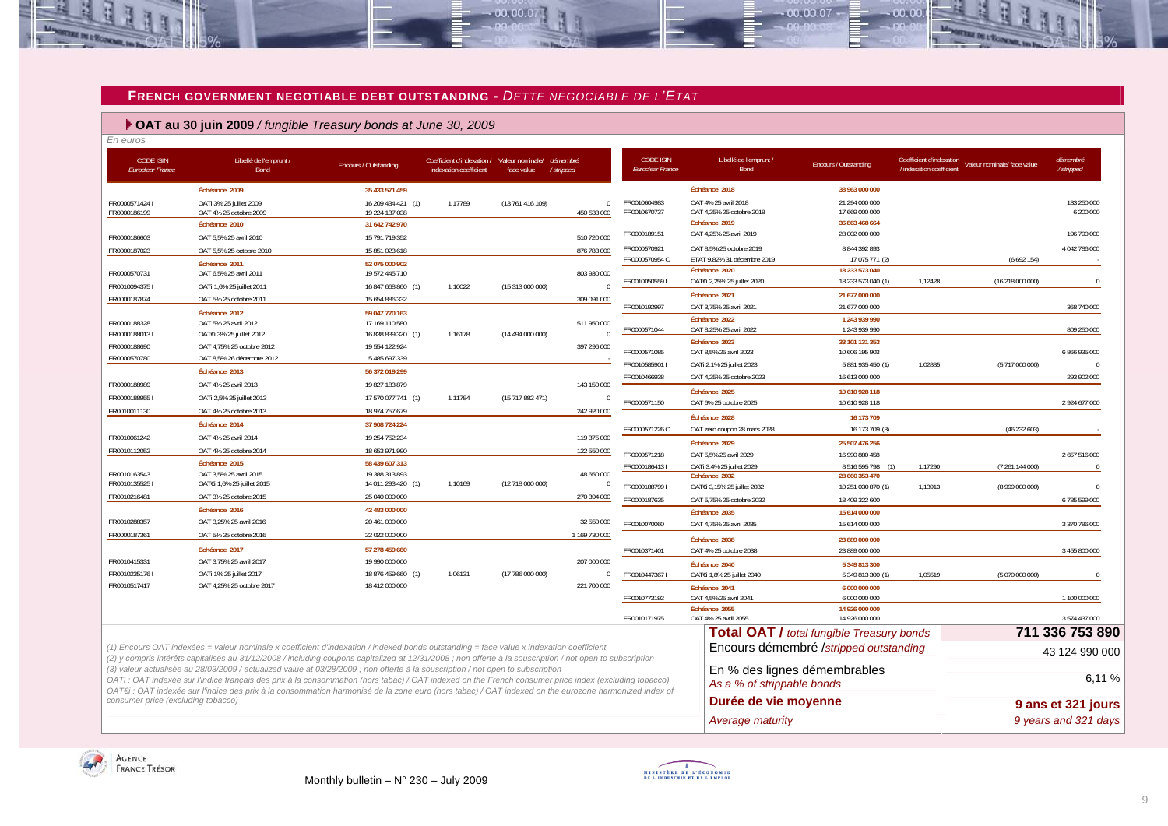#### **FRENCH GOVERNMENT NEGOTIABLE DEBT OUTSTANDING -** *DETTE NEGOCIABLE DE L'ETAT*

 $-00.00.07$ 

#### **OAT au 30 juin 2009** */ fungible Treasury bonds at June 30, 2009*

*En euros* 

≌

| <b>CODE ISIN</b><br><b>Euroclear France</b> | Libellé de l'emprunt /<br>Bond                                                                                                                                                                                                                                                                                                                                                                                                                  | Encours / Outstanding                | Coefficient d'indexation /<br>indexation coefficient | Valeur nominale/ démembré<br>face value | /stripped               | <b>CODE ISIN</b><br><b>Euroclear France</b> | Libellé de l'emprunt /<br>Bond                             | <b>Encours / Outstanding</b>                     | Coefficient d'indexation<br>/ indexation coefficient | Valeur nominale/ face value | démembré<br>/stripped    |
|---------------------------------------------|-------------------------------------------------------------------------------------------------------------------------------------------------------------------------------------------------------------------------------------------------------------------------------------------------------------------------------------------------------------------------------------------------------------------------------------------------|--------------------------------------|------------------------------------------------------|-----------------------------------------|-------------------------|---------------------------------------------|------------------------------------------------------------|--------------------------------------------------|------------------------------------------------------|-----------------------------|--------------------------|
|                                             | Échéance 2009                                                                                                                                                                                                                                                                                                                                                                                                                                   | 35 433 571 459                       |                                                      |                                         |                         |                                             | Échéance 2018                                              | 38 963 000 000                                   |                                                      |                             |                          |
| FR00005714241<br>FR0000186199               | OATi 3% 25 juillet 2009<br>OAT 4% 25 octobre 2009                                                                                                                                                                                                                                                                                                                                                                                               | 16 209 434 421 (1)<br>19 224 137 038 | 1,17789                                              | (13 761 416 109)                        | $\Omega$<br>450 533 000 | FR0010604983<br>FR0010670737                | OAT 4% 25 avril 2018<br>OAT 4,25% 25 octobre 2018          | 21 294 000 000<br>17 669 000 000                 |                                                      |                             | 133 250 000<br>6 200 000 |
|                                             | Échéance 2010                                                                                                                                                                                                                                                                                                                                                                                                                                   | 31 642 742 970                       |                                                      |                                         |                         |                                             | Échéance 2019                                              | 36 863 468 664                                   |                                                      |                             |                          |
| FR0000186603                                | OAT 5,5% 25 avril 2010                                                                                                                                                                                                                                                                                                                                                                                                                          | 15 791 719 352                       |                                                      |                                         | 510 720 000             | FR0000189151                                | OAT 4,25% 25 avril 2019                                    | 28 002 000 000                                   |                                                      |                             | 196 790 000              |
| FR0000187023                                | OAT 5.5% 25 octobre 2010                                                                                                                                                                                                                                                                                                                                                                                                                        | 15 851 023 618                       |                                                      |                                         | 876 783 000             | FR0000570921                                | OAT 8,5% 25 octobre 2019                                   | 8 844 392 893                                    |                                                      |                             | 4 042 786 000            |
| FR0000570731                                | Échéance 2011<br>OAT 6,5% 25 avril 2011                                                                                                                                                                                                                                                                                                                                                                                                         | 52 075 000 902<br>19 572 445 710     |                                                      |                                         | 803 930 000             | FR0000570954 C                              | ETAT 9,82% 31 décembre 2019<br>Échéance 2020               | 17 075 771 (2)<br>18 233 573 040                 |                                                      | (6692154)                   |                          |
| FR00100943751                               | OATi 1,6% 25 juillet 2011                                                                                                                                                                                                                                                                                                                                                                                                                       | 16 847 668 860 (1)                   | 1,10022                                              | (15 313 000 000)                        | $\cap$                  | FR00100505591                               | OAT€i 2,25% 25 juillet 2020                                | 18 233 573 040 (1)                               | 1,12428                                              | (16 218 000 000)            | $\cap$                   |
| FR0000187874                                | OAT 5% 25 octobre 2011                                                                                                                                                                                                                                                                                                                                                                                                                          | 15 654 886 332                       |                                                      |                                         | 309 091 000             |                                             | Échéance 2021                                              | 21 677 000 000                                   |                                                      |                             |                          |
|                                             | Échéance 2012                                                                                                                                                                                                                                                                                                                                                                                                                                   | 59 047 770 163                       |                                                      |                                         |                         | FR0010192997                                | OAT 3,75% 25 avril 2021                                    | 21 677 000 000                                   |                                                      |                             | 368 740 000              |
| FR0000188328                                | OAT 5% 25 avril 2012                                                                                                                                                                                                                                                                                                                                                                                                                            | 17 169 110 580                       |                                                      |                                         | 511 950 000             |                                             | Échéance 2022                                              | 1 243 939 990                                    |                                                      |                             |                          |
| FR00001880131                               | OATEI 3% 25 juillet 2012                                                                                                                                                                                                                                                                                                                                                                                                                        | 16 838 839 320 (1)                   | 1,16178                                              | (14 494 000 000)                        |                         | FR0000571044                                | OAT 8,25% 25 avril 2022                                    | 1 243 939 990                                    |                                                      |                             | 809 250 000              |
| FR0000188690                                | OAT 4.75% 25 octobre 2012                                                                                                                                                                                                                                                                                                                                                                                                                       | 19 554 122 924                       |                                                      |                                         | 397 296 000             | FR0000571085                                | Échéance 2023<br>OAT 8,5% 25 avril 2023                    | 33 101 131 353<br>10 606 195 903                 |                                                      |                             | 6 866 935 000            |
| FR0000570780                                | OAT 8,5% 26 décembre 2012                                                                                                                                                                                                                                                                                                                                                                                                                       | 5 485 697 339                        |                                                      |                                         |                         | FR0010585901 I                              | OATi 2,1% 25 juillet 2023                                  | 5 881 935 450 (1)                                | 1,02885                                              | (5717 000 000)              |                          |
|                                             | Échéance 2013                                                                                                                                                                                                                                                                                                                                                                                                                                   | 56 372 019 299                       |                                                      |                                         |                         | FR0010466938                                | OAT 4.25% 25 octobre 2023                                  | 16 613 000 000                                   |                                                      |                             | 293 902 000              |
| FR0000188989                                | OAT 4% 25 avril 2013                                                                                                                                                                                                                                                                                                                                                                                                                            | 19 827 183 879                       |                                                      |                                         | 143 150 000             |                                             |                                                            |                                                  |                                                      |                             |                          |
| FR00001889551                               | OATi 2,5% 25 juillet 2013                                                                                                                                                                                                                                                                                                                                                                                                                       | 17 570 077 741 (1)                   | 1,11784                                              | (15717882471)                           |                         | FR0000571150                                | Échéance 2025<br>OAT 6% 25 octobre 2025                    | 10 610 928 118<br>10 610 928 118                 |                                                      |                             | 2 924 677 000            |
| FR0010011130                                | OAT 4% 25 octobre 2013                                                                                                                                                                                                                                                                                                                                                                                                                          | 18 974 757 679                       |                                                      |                                         | 242 920 000             |                                             |                                                            |                                                  |                                                      |                             |                          |
|                                             | Échéance 2014                                                                                                                                                                                                                                                                                                                                                                                                                                   | 37 908 724 224                       |                                                      |                                         |                         |                                             | Échéance 2028                                              | 16 173 709                                       |                                                      |                             |                          |
| FR0010061242                                | OAT 4% 25 avril 2014                                                                                                                                                                                                                                                                                                                                                                                                                            | 19 254 752 234                       |                                                      |                                         | 119 375 000             | FR0000571226 C                              | OAT zéro coupon 28 mars 2028                               | 16 173 709 (3)                                   |                                                      | (46232603)                  |                          |
| FR0010112052                                | OAT 4% 25 octobre 2014                                                                                                                                                                                                                                                                                                                                                                                                                          | 18 653 971 990                       |                                                      |                                         | 122 550 000             |                                             | Échéance 2029                                              | 25 507 476 256                                   |                                                      |                             |                          |
|                                             | Échéance 2015                                                                                                                                                                                                                                                                                                                                                                                                                                   | 58 439 607 313                       |                                                      |                                         |                         | FR0000571218<br>FR00001864131               | OAT 5,5% 25 avril 2029                                     | 16 990 880 458                                   |                                                      |                             | 2657516000               |
| FR0010163543                                | OAT 3,5% 25 avril 2015                                                                                                                                                                                                                                                                                                                                                                                                                          | 19 388 313 893                       |                                                      |                                         | 148 650 000             |                                             | OATi 3,4% 25 juillet 2029<br>Échéance 2032                 | 8516595798<br>(1)<br>28 660 353 470              | 1,17290                                              | (7 261 144 000)             |                          |
| FR00101355251                               | OATEI 1,6% 25 juillet 2015                                                                                                                                                                                                                                                                                                                                                                                                                      | 14 011 293 420 (1)                   | 1,10169                                              | (12 718 000 000)                        | $\overline{0}$          | FR00001887991                               | OAT€i 3,15% 25 juillet 2032                                | 10 251 030 870 (1)                               | 1,13913                                              | (8 999 000 000)             |                          |
| FR0010216481                                | OAT 3% 25 octobre 2015                                                                                                                                                                                                                                                                                                                                                                                                                          | 25 040 000 000                       |                                                      |                                         | 270 394 000             | FR0000187635                                | OAT 5.75% 25 octobre 2032                                  | 18 409 322 600                                   |                                                      |                             | 6785599000               |
|                                             | Échéance 2016                                                                                                                                                                                                                                                                                                                                                                                                                                   | 42 483 000 000                       |                                                      |                                         |                         |                                             | Échéance 2035                                              | 15 614 000 000                                   |                                                      |                             |                          |
| FR0010288357                                | OAT 3,25% 25 avril 2016                                                                                                                                                                                                                                                                                                                                                                                                                         | 20 461 000 000                       |                                                      |                                         | 32 550 000              | FR0010070060                                | OAT 4.75% 25 avril 2035                                    | 15 614 000 000                                   |                                                      |                             | 3 370 786 000            |
| FR0000187361                                | OAT 5% 25 octobre 2016                                                                                                                                                                                                                                                                                                                                                                                                                          | 22 022 000 000                       |                                                      |                                         | 1 169 730 000           |                                             | Échéance 2038                                              | 23 889 000 000                                   |                                                      |                             |                          |
|                                             | Échéance 2017                                                                                                                                                                                                                                                                                                                                                                                                                                   | 57 278 459 660                       |                                                      |                                         |                         | FR0010371401                                | OAT 4% 25 octobre 2038                                     | 23 889 000 000                                   |                                                      |                             | 3 455 800 000            |
| FR0010415331                                | OAT 3,75% 25 avril 2017                                                                                                                                                                                                                                                                                                                                                                                                                         | 19 990 000 000                       |                                                      |                                         | 207 000 000             |                                             | Échéance 2040                                              | 5 349 813 300                                    |                                                      |                             |                          |
| FR00102351761                               | OATi 1% 25 juillet 2017                                                                                                                                                                                                                                                                                                                                                                                                                         | 18 876 459 660 (1)                   | 1,06131                                              | (17 786 000 000)                        | $\Omega$                | FR00104473671                               | OATEi 1,8% 25 juillet 2040                                 | 5 349 813 300 (1)                                | 1,05519                                              | (5 070 000 000)             |                          |
| FR0010517417                                | OAT 4,25% 25 octobre 2017                                                                                                                                                                                                                                                                                                                                                                                                                       | 18 412 000 000                       |                                                      |                                         | 221 700 000             |                                             | Échéance 2041                                              | 6 000 000 000                                    |                                                      |                             |                          |
|                                             |                                                                                                                                                                                                                                                                                                                                                                                                                                                 |                                      |                                                      |                                         |                         | FR0010773192                                | OAT 4.5% 25 avril 2041                                     | 6 000 000 000                                    |                                                      |                             | 1 100 000 000            |
|                                             |                                                                                                                                                                                                                                                                                                                                                                                                                                                 |                                      |                                                      |                                         |                         | FR0010171975                                | Échéance 2055<br>OAT 4% 25 avril 2055                      | 14 926 000 000<br>14 926 000 000                 |                                                      |                             | 3 574 437 000            |
|                                             |                                                                                                                                                                                                                                                                                                                                                                                                                                                 |                                      |                                                      |                                         |                         |                                             |                                                            |                                                  |                                                      |                             |                          |
|                                             |                                                                                                                                                                                                                                                                                                                                                                                                                                                 |                                      |                                                      |                                         |                         |                                             |                                                            | <b>Total OAT / total fungible Treasury bonds</b> |                                                      |                             | 711 336 753 890          |
|                                             | (1) Encours OAT indexées = valeur nominale x coefficient d'indexation / indexed bonds outstanding = face value x indexation coefficient<br>(2) y compris intérêts capitalisés au 31/12/2008 / including coupons capitalized at 12/31/2008 ; non offerte à la souscription / not open to subscription                                                                                                                                            |                                      |                                                      |                                         |                         |                                             |                                                            | Encours démembré /stripped outstanding           |                                                      |                             | 43 124 990 000           |
|                                             | (3) valeur actualisée au 28/03/2009 / actualized value at 03/28/2009 ; non offerte à la souscription / not open to subscription<br>OATi: OAT indexée sur l'indice français des prix à la consommation (hors tabac) / OAT indexed on the French consumer price index (excluding tobacco)<br>OAT€i : OAT indexée sur l'indice des prix à la consommation harmonisé de la zone euro (hors tabac) / OAT indexed on the eurozone harmonized index of |                                      |                                                      |                                         |                         |                                             | En % des lignes démembrables<br>As a % of strippable bonds |                                                  |                                                      |                             | 6,11%                    |
| consumer price (excluding tobacco)          |                                                                                                                                                                                                                                                                                                                                                                                                                                                 |                                      |                                                      |                                         |                         |                                             | Durée de vie moyenne                                       |                                                  |                                                      |                             | 9 ans et 321 jours       |
|                                             |                                                                                                                                                                                                                                                                                                                                                                                                                                                 |                                      |                                                      |                                         |                         |                                             | Average maturity                                           |                                                  |                                                      |                             | 9 years and 321 days     |





 $-000007$ 

na na